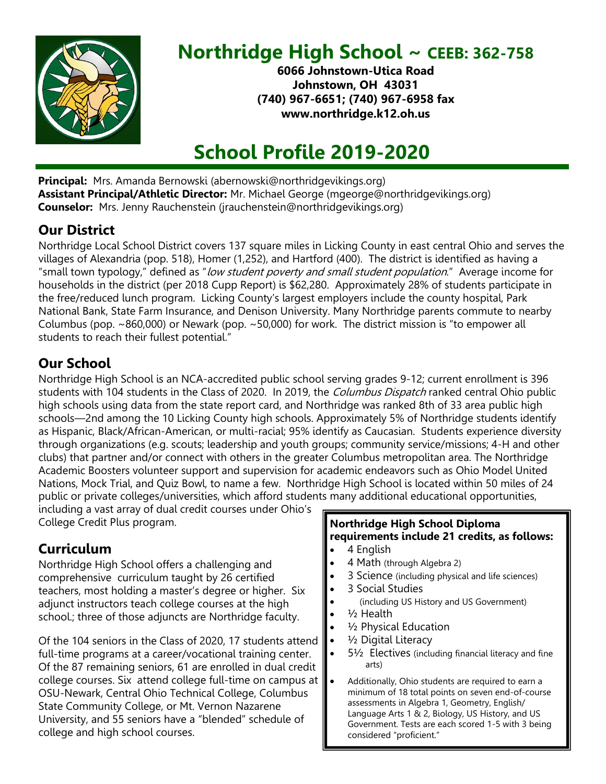

# **Northridge High School ~ CEEB: 362-758**

**6066 Johnstown-Utica Road Johnstown, OH 43031 (740) 967-6651; (740) 967-6958 fax www.northridge.k12.oh.us**

# **School Profile 2019-2020**

**Principal:** Mrs. Amanda Bernowski (abernowski@northridgevikings.org) **Assistant Principal/Athletic Director:** Mr. Michael George (mgeorge@northridgevikings.org) **Counselor:** Mrs. Jenny Rauchenstein (jrauchenstein@northridgevikings.org)

### **Our District**

Northridge Local School District covers 137 square miles in Licking County in east central Ohio and serves the villages of Alexandria (pop. 518), Homer (1,252), and Hartford (400). The district is identified as having a "small town typology," defined as "low student poverty and small student population." Average income for households in the district (per 2018 Cupp Report) is \$62,280. Approximately 28% of students participate in the free/reduced lunch program. Licking County's largest employers include the county hospital, Park National Bank, State Farm Insurance, and Denison University. Many Northridge parents commute to nearby Columbus (pop. ~860,000) or Newark (pop. ~50,000) for work. The district mission is "to empower all students to reach their fullest potential."

## **Our School**

Northridge High School is an NCA-accredited public school serving grades 9-12; current enrollment is 396 students with 104 students in the Class of 2020. In 2019, the Columbus Dispatch ranked central Ohio public high schools using data from the state report card, and Northridge was ranked 8th of 33 area public high schools—2nd among the 10 Licking County high schools. Approximately 5% of Northridge students identify as Hispanic, Black/African-American, or multi-racial; 95% identify as Caucasian. Students experience diversity through organizations (e.g. scouts; leadership and youth groups; community service/missions; 4-H and other clubs) that partner and/or connect with others in the greater Columbus metropolitan area. The Northridge Academic Boosters volunteer support and supervision for academic endeavors such as Ohio Model United Nations, Mock Trial, and Quiz Bowl, to name a few. Northridge High School is located within 50 miles of 24 public or private colleges/universities, which afford students many additional educational opportunities,

including a vast array of dual credit courses under Ohio's College Credit Plus program.

### **Curriculum**

Northridge High School offers a challenging and comprehensive curriculum taught by 26 certified teachers, most holding a master's degree or higher. Six adjunct instructors teach college courses at the high school.; three of those adjuncts are Northridge faculty.

Of the 104 seniors in the Class of 2020, 17 students attend full-time programs at a career/vocational training center. Of the 87 remaining seniors, 61 are enrolled in dual credit college courses. Six attend college full-time on campus at OSU-Newark, Central Ohio Technical College, Columbus State Community College, or Mt. Vernon Nazarene University, and 55 seniors have a "blended" schedule of college and high school courses.

#### **Northridge High School Diploma requirements include 21 credits, as follows:**

- 4 English
- 4 Math (through Algebra 2)
- 3 Science (including physical and life sciences)
- 3 Social Studies
- (including US History and US Government)
- $1/2$  Health
- <sup>1/2</sup> Physical Education
- 1/<sub>2</sub> Digital Literacy
- 5½ Electives (including financial literacy and fine arts)
- Additionally, Ohio students are required to earn a minimum of 18 total points on seven end-of-course assessments in Algebra 1, Geometry, English/ Language Arts 1 & 2, Biology, US History, and US Government. Tests are each scored 1-5 with 3 being considered "proficient."